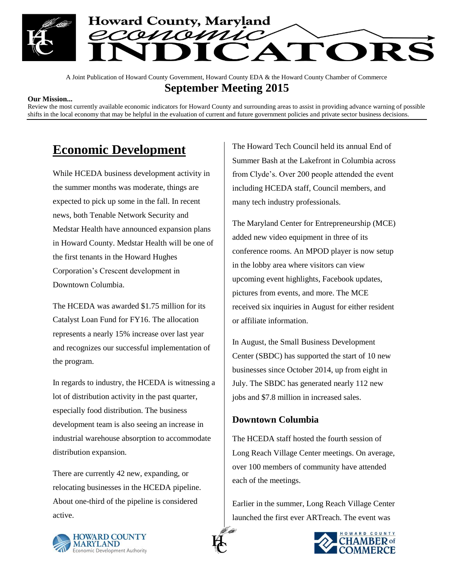

A Joint Publication of Howard County Government, Howard County EDA & the Howard County Chamber of Commerce **September Meeting 2015**

#### **Our Mission...**

Review the most currently available economic indicators for Howard County and surrounding areas to assist in providing advance warning of possible shifts in the local economy that may be helpful in the evaluation of current and future government policies and private sector business decisions.

## **Economic Development**

While HCEDA business development activity in the summer months was moderate, things are expected to pick up some in the fall. In recent news, both Tenable Network Security and Medstar Health have announced expansion plans in Howard County. Medstar Health will be one of the first tenants in the Howard Hughes Corporation's Crescent development in Downtown Columbia.

The HCEDA was awarded \$1.75 million for its Catalyst Loan Fund for FY16. The allocation represents a nearly 15% increase over last year and recognizes our successful implementation of the program.

In regards to industry, the HCEDA is witnessing a lot of distribution activity in the past quarter, especially food distribution. The business development team is also seeing an increase in industrial warehouse absorption to accommodate distribution expansion.

There are currently 42 new, expanding, or relocating businesses in the HCEDA pipeline. About one-third of the pipeline is considered active.

The Howard Tech Council held its annual End of Summer Bash at the Lakefront in Columbia across from Clyde's. Over 200 people attended the event including HCEDA staff, Council members, and many tech industry professionals.

The Maryland Center for Entrepreneurship (MCE) added new video equipment in three of its conference rooms. An MPOD player is now setup in the lobby area where visitors can view upcoming event highlights, Facebook updates, pictures from events, and more. The MCE received six inquiries in August for either resident or affiliate information.

In August, the Small Business Development Center (SBDC) has supported the start of 10 new businesses since October 2014, up from eight in July. The SBDC has generated nearly 112 new jobs and \$7.8 million in increased sales.

#### **Downtown Columbia**

The HCEDA staff hosted the fourth session of Long Reach Village Center meetings. On average, over 100 members of community have attended each of the meetings.

Earlier in the summer, Long Reach Village Center launched the first ever ARTreach. The event was



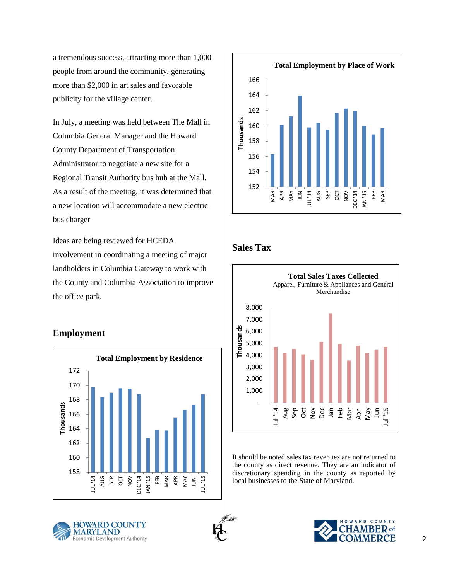a tremendous success, attracting more than 1,000 people from around the community, generating more than \$2,000 in art sales and favorable publicity for the village center.

In July, a meeting was held between The Mall in Columbia General Manager and the Howard County Department of Transportation Administrator to negotiate a new site for a Regional Transit Authority bus hub at the Mall. As a result of the meeting, it was determined that a new location will accommodate a new electric bus charger

Ideas are being reviewed for HCEDA involvement in coordinating a meeting of major landholders in Columbia Gateway to work with the County and Columbia Association to improve the office park.

### **Employment**





### **Sales Tax**



It should be noted sales tax revenues are not returned to the county as direct revenue. They are an indicator of discretionary spending in the county as reported by local businesses to the State of Maryland.





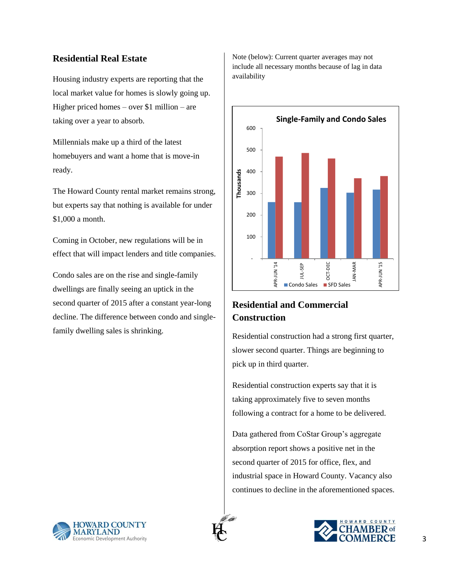### **Residential Real Estate**

Housing industry experts are reporting that the local market value for homes is slowly going up. Higher priced homes – over \$1 million – are taking over a year to absorb.

Millennials make up a third of the latest homebuyers and want a home that is move-in ready.

The Howard County rental market remains strong, but experts say that nothing is available for under \$1,000 a month.

Coming in October, new regulations will be in effect that will impact lenders and title companies.

Condo sales are on the rise and single-family dwellings are finally seeing an uptick in the second quarter of 2015 after a constant year-long decline. The difference between condo and singlefamily dwelling sales is shrinking.

Note (below): Current quarter averages may not include all necessary months because of lag in data availability



## **Residential and Commercial Construction**

Residential construction had a strong first quarter, slower second quarter. Things are beginning to pick up in third quarter.

Residential construction experts say that it is taking approximately five to seven months following a contract for a home to be delivered.

Data gathered from CoStar Group's aggregate absorption report shows a positive net in the second quarter of 2015 for office, flex, and industrial space in Howard County. Vacancy also continues to decline in the aforementioned spaces.



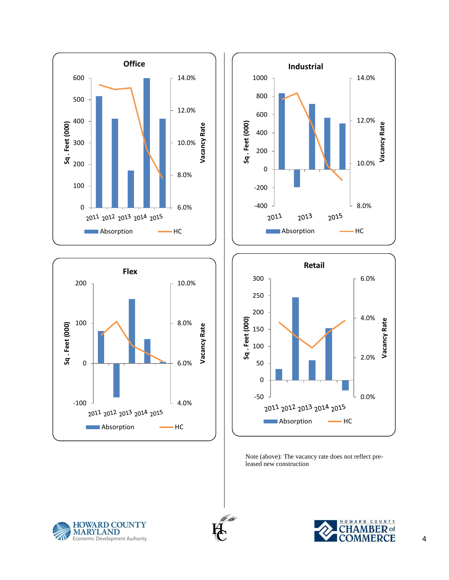





Note (above): The vacancy rate does not reflect preleased new construction